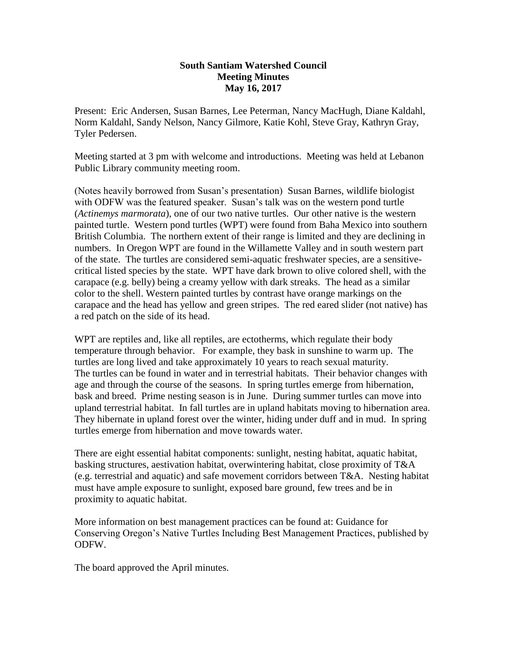## **South Santiam Watershed Council Meeting Minutes May 16, 2017**

Present: Eric Andersen, Susan Barnes, Lee Peterman, Nancy MacHugh, Diane Kaldahl, Norm Kaldahl, Sandy Nelson, Nancy Gilmore, Katie Kohl, Steve Gray, Kathryn Gray, Tyler Pedersen.

Meeting started at 3 pm with welcome and introductions. Meeting was held at Lebanon Public Library community meeting room.

(Notes heavily borrowed from Susan's presentation) Susan Barnes, wildlife biologist with ODFW was the featured speaker. Susan's talk was on the western pond turtle (*Actinemys marmorata*), one of our two native turtles. Our other native is the western painted turtle. Western pond turtles (WPT) were found from Baha Mexico into southern British Columbia. The northern extent of their range is limited and they are declining in numbers. In Oregon WPT are found in the Willamette Valley and in south western part of the state. The turtles are considered semi-aquatic freshwater species, are a sensitivecritical listed species by the state. WPT have dark brown to olive colored shell, with the carapace (e.g. belly) being a creamy yellow with dark streaks. The head as a similar color to the shell. Western painted turtles by contrast have orange markings on the carapace and the head has yellow and green stripes. The red eared slider (not native) has a red patch on the side of its head.

WPT are reptiles and, like all reptiles, are ectotherms, which regulate their body temperature through behavior. For example, they bask in sunshine to warm up. The turtles are long lived and take approximately 10 years to reach sexual maturity. The turtles can be found in water and in terrestrial habitats. Their behavior changes with age and through the course of the seasons. In spring turtles emerge from hibernation, bask and breed. Prime nesting season is in June. During summer turtles can move into upland terrestrial habitat. In fall turtles are in upland habitats moving to hibernation area. They hibernate in upland forest over the winter, hiding under duff and in mud. In spring turtles emerge from hibernation and move towards water.

There are eight essential habitat components: sunlight, nesting habitat, aquatic habitat, basking structures, aestivation habitat, overwintering habitat, close proximity of T&A (e.g. terrestrial and aquatic) and safe movement corridors between T&A. Nesting habitat must have ample exposure to sunlight, exposed bare ground, few trees and be in proximity to aquatic habitat.

More information on best management practices can be found at: Guidance for Conserving Oregon's Native Turtles Including Best Management Practices, published by ODFW.

The board approved the April minutes.